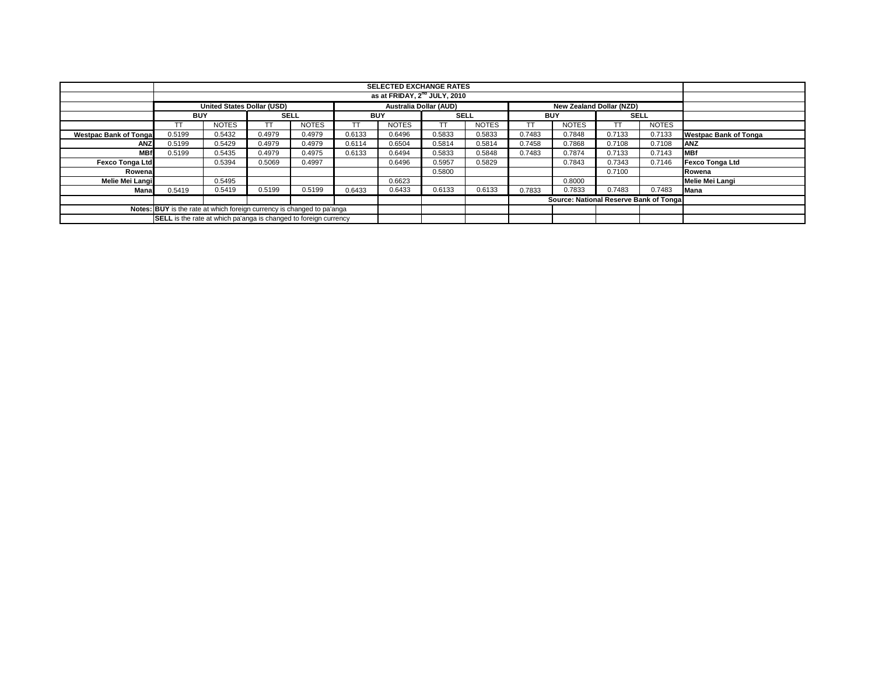|                                                                               | <b>SELECTED EXCHANGE RATES</b>                                          |                                   |             |              |            |                               |                 |              |            |                                 |             |              |                              |
|-------------------------------------------------------------------------------|-------------------------------------------------------------------------|-----------------------------------|-------------|--------------|------------|-------------------------------|-----------------|--------------|------------|---------------------------------|-------------|--------------|------------------------------|
|                                                                               | as at FRIDAY, 2 <sup>nd</sup> JULY, 2010                                |                                   |             |              |            |                               |                 |              |            |                                 |             |              |                              |
|                                                                               |                                                                         | <b>United States Dollar (USD)</b> |             |              |            | <b>Australia Dollar (AUD)</b> |                 |              |            | <b>New Zealand Dollar (NZD)</b> |             |              |                              |
|                                                                               | <b>BUY</b>                                                              |                                   | <b>SELL</b> |              | <b>BUY</b> |                               | <b>SELL</b>     |              | <b>BUY</b> |                                 | <b>SELL</b> |              |                              |
|                                                                               | <b>TT</b>                                                               | <b>NOTES</b>                      |             | <b>NOTES</b> |            | <b>NOTES</b>                  | TT <sub>1</sub> | <b>NOTES</b> |            | <b>NOTES</b>                    | <b>TT</b>   | <b>NOTES</b> |                              |
| <b>Westpac Bank of Tonga</b>                                                  | 0.5199                                                                  | 0.5432                            | 0.4979      | 0.4979       | 0.6133     | 0.6496                        | 0.5833          | 0.5833       | 0.7483     | 0.7848                          | 0.7133      | 0.7133       | <b>Westpac Bank of Tonga</b> |
| <b>ANZ</b>                                                                    | 0.5199                                                                  | 0.5429                            | 0.4979      | 0.4979       | 0.6114     | 0.6504                        | 0.5814          | 0.5814       | 0.7458     | 0.7868                          | 0.7108      | 0.7108       | <b>ANZ</b>                   |
| <b>MBf</b>                                                                    | 0.5199                                                                  | 0.5435                            | 0.4979      | 0.4975       | 0.6133     | 0.6494                        | 0.5833          | 0.5848       | 0.7483     | 0.7874                          | 0.7133      | 0.7143       | <b>MBf</b>                   |
| <b>Fexco Tonga Ltd</b>                                                        |                                                                         | 0.5394                            | 0.5069      | 0.4997       |            | 0.6496                        | 0.5957          | 0.5829       |            | 0.7843                          | 0.7343      | 0.7146       | <b>Fexco Tonga Ltd</b>       |
| Rowena                                                                        |                                                                         |                                   |             |              |            |                               | 0.5800          |              |            |                                 | 0.7100      |              | Rowena                       |
| Melie Mei Langi                                                               |                                                                         | 0.5495                            |             |              |            | 0.6623                        |                 |              |            | 0.8000                          |             |              | <b>Melie Mei Langi</b>       |
| Mana                                                                          | 0.5419                                                                  | 0.5419                            | 0.5199      | 0.5199       | 0.6433     | 0.6433                        | 0.6133          | 0.6133       | 0.7833     | 0.7833                          | 0.7483      | 0.7483       | <b>Mana</b>                  |
|                                                                               | Source: National Reserve Bank of Tonga                                  |                                   |             |              |            |                               |                 |              |            |                                 |             |              |                              |
| <b>Notes: BUY</b> is the rate at which foreign currency is changed to pa'anga |                                                                         |                                   |             |              |            |                               |                 |              |            |                                 |             |              |                              |
|                                                                               | <b>SELL</b> is the rate at which pa'anga is changed to foreign currency |                                   |             |              |            |                               |                 |              |            |                                 |             |              |                              |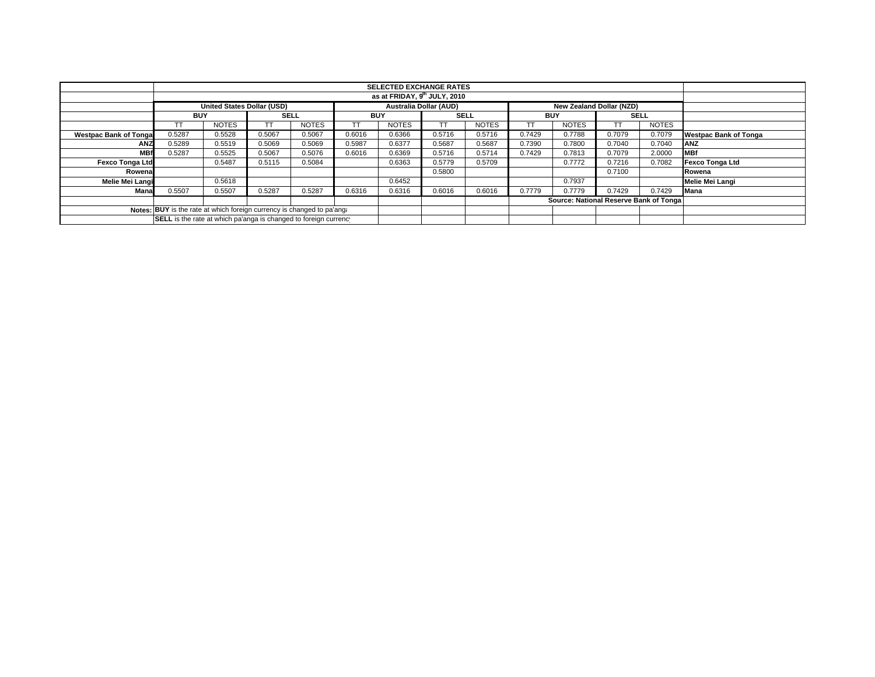|                              | <b>SELECTED EXCHANGE RATES</b>                                         |                                   |             |              |                               |              |             |              |            |                                        |             |              |                              |
|------------------------------|------------------------------------------------------------------------|-----------------------------------|-------------|--------------|-------------------------------|--------------|-------------|--------------|------------|----------------------------------------|-------------|--------------|------------------------------|
|                              | as at FRIDAY, 9 <sup>th</sup> JULY, 2010                               |                                   |             |              |                               |              |             |              |            |                                        |             |              |                              |
|                              |                                                                        | <b>United States Dollar (USD)</b> |             |              | <b>Australia Dollar (AUD)</b> |              |             |              |            | <b>New Zealand Dollar (NZD)</b>        |             |              |                              |
|                              | <b>BUY</b>                                                             |                                   | <b>SELL</b> |              | BUY                           |              | <b>SELL</b> |              | <b>BUY</b> |                                        | <b>SELL</b> |              |                              |
|                              |                                                                        | <b>NOTES</b>                      | ТT          | <b>NOTES</b> | ТT                            | <b>NOTES</b> |             | <b>NOTES</b> |            | <b>NOTES</b>                           |             | <b>NOTES</b> |                              |
| <b>Westpac Bank of Tonga</b> | 0.5287                                                                 | 0.5528                            | 0.5067      | 0.5067       | 0.6016                        | 0.6366       | 0.5716      | 0.5716       | 0.7429     | 0.7788                                 | 0.7079      | 0.7079       | <b>Westpac Bank of Tonga</b> |
| <b>ANZ</b>                   | 0.5289                                                                 | 0.5519                            | 0.5069      | 0.5069       | 0.5987                        | 0.6377       | 0.5687      | 0.5687       | 0.7390     | 0.7800                                 | 0.7040      | 0.7040       | <b>ANZ</b>                   |
| <b>MBf</b>                   | 0.5287                                                                 | 0.5525                            | 0.5067      | 0.5076       | 0.6016                        | 0.6369       | 0.5716      | 0.5714       | 0.7429     | 0.7813                                 | 0.7079      | 2.0000       | <b>MBf</b>                   |
| <b>Fexco Tonga Ltd</b>       |                                                                        | 0.5487                            | 0.5115      | 0.5084       |                               | 0.6363       | 0.5779      | 0.5709       |            | 0.7772                                 | 0.7216      | 0.7082       | Fexco Tonga Ltd              |
| Rowenal                      |                                                                        |                                   |             |              |                               |              | 0.5800      |              |            |                                        | 0.7100      |              | Rowena                       |
| Melie Mei Langi              |                                                                        | 0.5618                            |             |              |                               | 0.6452       |             |              |            | 0.7937                                 |             |              | Melie Mei Langi              |
| Mana                         | 0.5507                                                                 | 0.5507                            | 0.5287      | 0.5287       | 0.6316                        | 0.6316       | 0.6016      | 0.6016       | 0.7779     | 0.7779                                 | 0.7429      | 0.7429       | <b>Mana</b>                  |
|                              |                                                                        |                                   |             |              |                               |              |             |              |            | Source: National Reserve Bank of Tonga |             |              |                              |
|                              | Notes: BUY is the rate at which foreign currency is changed to pa'ang: |                                   |             |              |                               |              |             |              |            |                                        |             |              |                              |
|                              | SELL is the rate at which pa'anga is changed to foreign currency       |                                   |             |              |                               |              |             |              |            |                                        |             |              |                              |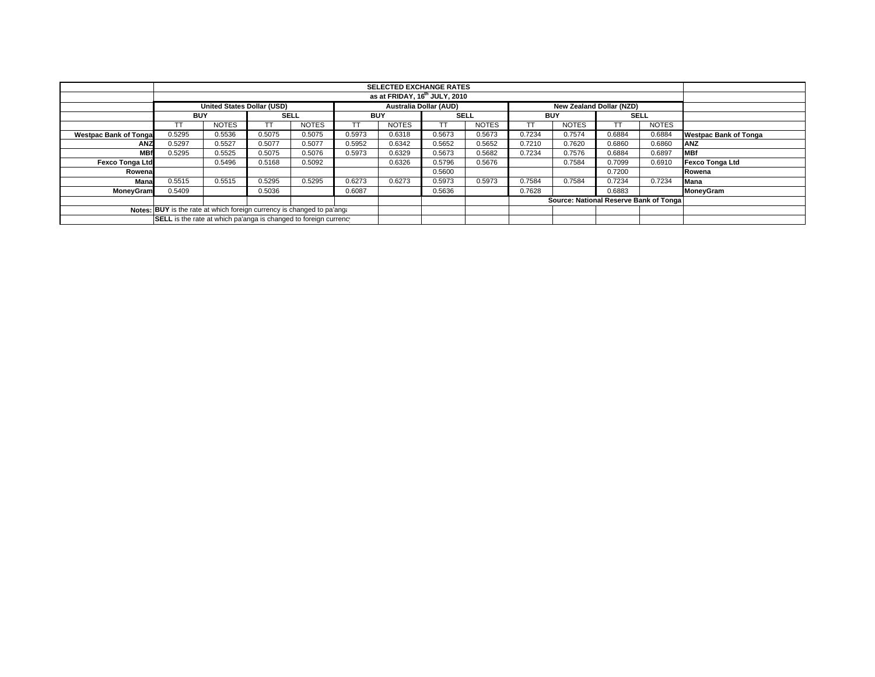|                              | <b>SELECTED EXCHANGE RATES</b>                                         |                                   |             |              |                               |              |             |              |                                         |                                 |             |              |                              |
|------------------------------|------------------------------------------------------------------------|-----------------------------------|-------------|--------------|-------------------------------|--------------|-------------|--------------|-----------------------------------------|---------------------------------|-------------|--------------|------------------------------|
|                              | as at FRIDAY, 16 <sup>th</sup> JULY, 2010                              |                                   |             |              |                               |              |             |              |                                         |                                 |             |              |                              |
|                              |                                                                        | <b>United States Dollar (USD)</b> |             |              | <b>Australia Dollar (AUD)</b> |              |             |              |                                         | <b>New Zealand Dollar (NZD)</b> |             |              |                              |
|                              | <b>BUY</b>                                                             |                                   | <b>SELL</b> |              | BUY                           |              | <b>SELL</b> |              | <b>BUY</b>                              |                                 | <b>SELL</b> |              |                              |
|                              |                                                                        | <b>NOTES</b>                      |             | <b>NOTES</b> | ТT                            | <b>NOTES</b> |             | <b>NOTES</b> |                                         | <b>NOTES</b>                    |             | <b>NOTES</b> |                              |
| <b>Westpac Bank of Tonga</b> | 0.5295                                                                 | 0.5536                            | 0.5075      | 0.5075       | 0.5973                        | 0.6318       | 0.5673      | 0.5673       | 0.7234                                  | 0.7574                          | 0.6884      | 0.6884       | <b>Westpac Bank of Tonga</b> |
| <b>ANZ</b>                   | 0.5297                                                                 | 0.5527                            | 0.5077      | 0.5077       | 0.5952                        | 0.6342       | 0.5652      | 0.5652       | 0.7210                                  | 0.7620                          | 0.6860      | 0.6860       | <b>ANZ</b>                   |
| <b>MBf</b>                   | 0.5295                                                                 | 0.5525                            | 0.5075      | 0.5076       | 0.5973                        | 0.6329       | 0.5673      | 0.5682       | 0.7234                                  | 0.7576                          | 0.6884      | 0.6897       | <b>MBf</b>                   |
| <b>Fexco Tonga Ltd</b>       |                                                                        | 0.5496                            | 0.5168      | 0.5092       |                               | 0.6326       | 0.5796      | 0.5676       |                                         | 0.7584                          | 0.7099      | 0.6910       | Fexco Tonga Ltd              |
| Rowenal                      |                                                                        |                                   |             |              |                               |              | 0.5600      |              |                                         |                                 | 0.7200      |              | Rowena                       |
| Mana                         | 0.5515                                                                 | 0.5515                            | 0.5295      | 0.5295       | 0.6273                        | 0.6273       | 0.5973      | 0.5973       | 0.7584                                  | 0.7584                          | 0.7234      | 0.7234       | <b>Mana</b>                  |
| MoneyGram                    | 0.5409                                                                 |                                   | 0.5036      |              | 0.6087                        |              | 0.5636      |              | 0.7628                                  |                                 | 0.6883      |              | MoneyGram                    |
|                              |                                                                        |                                   |             |              |                               |              |             |              | Source: National Reserve Bank of Tongal |                                 |             |              |                              |
|                              | Notes: BUY is the rate at which foreign currency is changed to pa'ang. |                                   |             |              |                               |              |             |              |                                         |                                 |             |              |                              |
|                              | SELL is the rate at which pa'anga is changed to foreign currency       |                                   |             |              |                               |              |             |              |                                         |                                 |             |              |                              |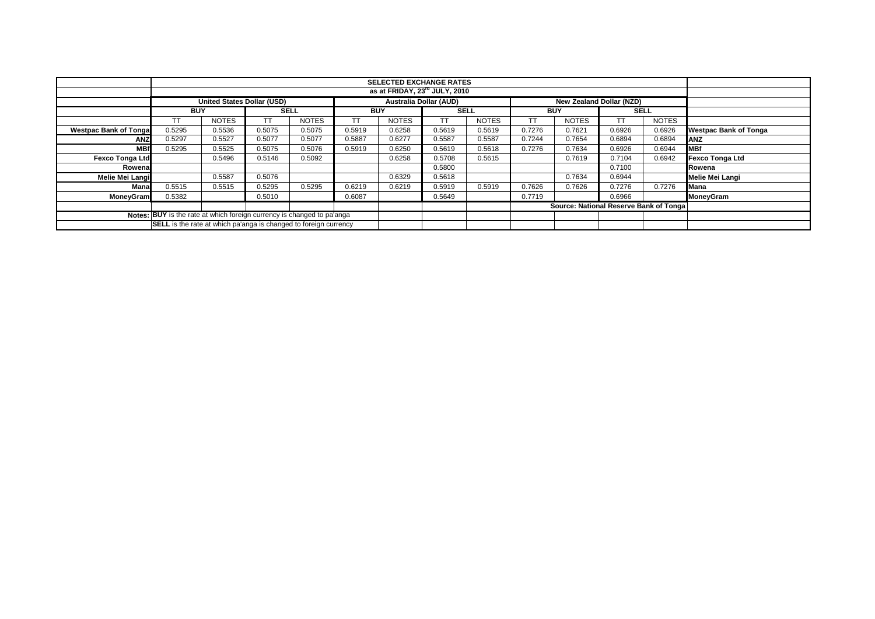|                                                                        |                                                                         |                                           |                               |              |            | <b>SELECTED EXCHANGE RATES</b>  |             |              |            |                                         |        |              |                              |
|------------------------------------------------------------------------|-------------------------------------------------------------------------|-------------------------------------------|-------------------------------|--------------|------------|---------------------------------|-------------|--------------|------------|-----------------------------------------|--------|--------------|------------------------------|
|                                                                        |                                                                         | as at FRIDAY, 23 <sup>rd</sup> JULY, 2010 |                               |              |            |                                 |             |              |            |                                         |        |              |                              |
|                                                                        | <b>United States Dollar (USD)</b>                                       |                                           | <b>Australia Dollar (AUD)</b> |              |            | <b>New Zealand Dollar (NZD)</b> |             |              |            |                                         |        |              |                              |
|                                                                        | <b>BUY</b>                                                              |                                           | <b>SELL</b>                   |              | <b>BUY</b> |                                 | <b>SELL</b> |              | <b>BUY</b> |                                         |        | <b>SELL</b>  |                              |
|                                                                        | TТ                                                                      | <b>NOTES</b>                              |                               | <b>NOTES</b> | TT         | <b>NOTES</b>                    |             | <b>NOTES</b> |            | <b>NOTES</b>                            | TT     | <b>NOTES</b> |                              |
| <b>Westpac Bank of Tonga</b>                                           | 0.5295                                                                  | 0.5536                                    | 0.5075                        | 0.5075       | 0.5919     | 0.6258                          | 0.5619      | 0.5619       | 0.7276     | 0.7621                                  | 0.6926 | 0.6926       | <b>Westpac Bank of Tonga</b> |
| ANZ                                                                    | 0.5297                                                                  | 0.5527                                    | 0.5077                        | 0.5077       | 0.5887     | 0.6277                          | 0.5587      | 0.5587       | 0.7244     | 0.7654                                  | 0.6894 | 0.6894       | <b>ANZ</b>                   |
| <b>MBf</b>                                                             | 0.5295                                                                  | 0.5525                                    | 0.5075                        | 0.5076       | 0.5919     | 0.6250                          | 0.5619      | 0.5618       | 0.7276     | 0.7634                                  | 0.6926 | 0.6944       | <b>MBf</b>                   |
| <b>Fexco Tonga Ltd</b>                                                 |                                                                         | 0.5496                                    | 0.5146                        | 0.5092       |            | 0.6258                          | 0.5708      | 0.5615       |            | 0.7619                                  | 0.7104 | 0.6942       | <b>Fexco Tonga Ltd</b>       |
| Rowenal                                                                |                                                                         |                                           |                               |              |            |                                 | 0.5800      |              |            |                                         | 0.7100 |              | Rowena                       |
| Melie Mei Langi                                                        |                                                                         | 0.5587                                    | 0.5076                        |              |            | 0.6329                          | 0.5618      |              |            | 0.7634                                  | 0.6944 |              | Melie Mei Langi              |
| Mana                                                                   | 0.5515                                                                  | 0.5515                                    | 0.5295                        | 0.5295       | 0.6219     | 0.6219                          | 0.5919      | 0.5919       | 0.7626     | 0.7626                                  | 0.7276 | 0.7276       | Mana                         |
| <b>MoneyGram</b>                                                       | 0.5382                                                                  |                                           | 0.5010                        |              | 0.6087     |                                 | 0.5649      |              | 0.7719     |                                         | 0.6966 |              | MoneyGram                    |
|                                                                        |                                                                         |                                           |                               |              |            |                                 |             |              |            | Source: National Reserve Bank of Tongal |        |              |                              |
| Notes: BUY is the rate at which foreign currency is changed to pa'anga |                                                                         |                                           |                               |              |            |                                 |             |              |            |                                         |        |              |                              |
|                                                                        | <b>SELL</b> is the rate at which pa'anga is changed to foreign currency |                                           |                               |              |            |                                 |             |              |            |                                         |        |              |                              |